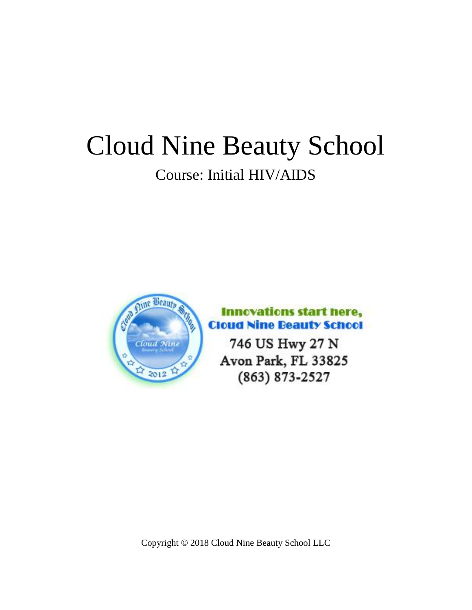# Cloud Nine Beauty School Course: Initial HIV/AIDS



# **Innovations start here, Cloud Nine Beauty School**

746 US Hwy 27 N Avon Park, FL 33825 (863) 873-2527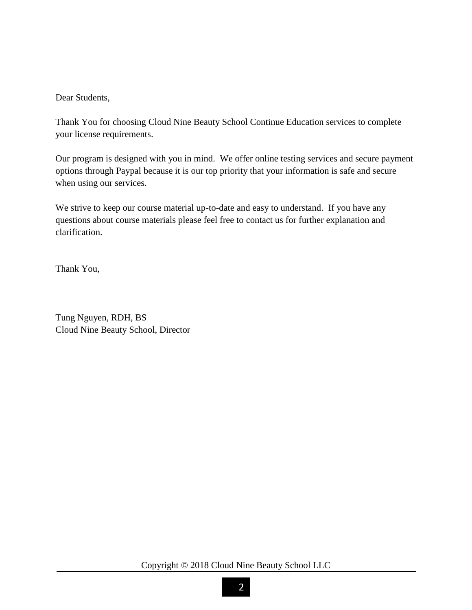Dear Students,

Thank You for choosing Cloud Nine Beauty School Continue Education services to complete your license requirements.

Our program is designed with you in mind. We offer online testing services and secure payment options through Paypal because it is our top priority that your information is safe and secure when using our services.

We strive to keep our course material up-to-date and easy to understand. If you have any questions about course materials please feel free to contact us for further explanation and clarification.

Thank You,

Tung Nguyen, RDH, BS Cloud Nine Beauty School, Director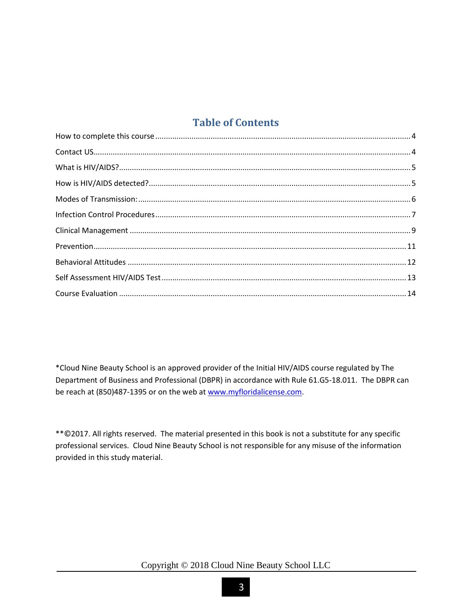## **Table of Contents**

\*Cloud Nine Beauty School is an approved provider of the Initial HIV/AIDS course regulated by The Department of Business and Professional (DBPR) in accordance with Rule 61.G5-18.011. The DBPR can be reach at (850)487-1395 or on the web a[t www.myfloridalicense.com.](http://www.myfloridalicense.com/)

\*\*©2017. All rights reserved. The material presented in this book is not a substitute for any specific professional services. Cloud Nine Beauty School is not responsible for any misuse of the information provided in this study material.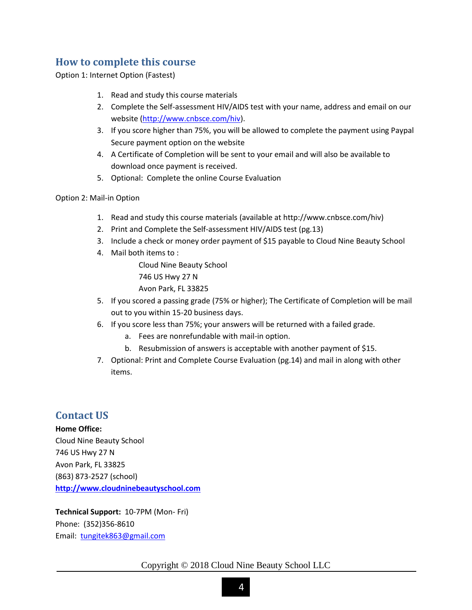## <span id="page-3-0"></span>**How to complete this course**

Option 1: Internet Option (Fastest)

- 1. Read and study this course materials
- 2. Complete the Self-assessment HIV/AIDS test with your name, address and email on our website [\(http://www.cnbsce.com/hiv\)](http://www.cnbsce.com/hiv).
- 3. If you score higher than 75%, you will be allowed to complete the payment using Paypal Secure payment option on the website
- 4. A Certificate of Completion will be sent to your email and will also be available to download once payment is received.
- 5. Optional: Complete the online Course Evaluation

#### Option 2: Mail-in Option

- 1. Read and study this course materials (available at http://www.cnbsce.com/hiv)
- 2. Print and Complete the Self-assessment HIV/AIDS test (pg.13)
- 3. Include a check or money order payment of \$15 payable to Cloud Nine Beauty School
- 4. Mail both items to :

Cloud Nine Beauty School 746 US Hwy 27 N Avon Park, FL 33825

- 5. If you scored a passing grade (75% or higher); The Certificate of Completion will be mail out to you within 15-20 business days.
- 6. If you score less than 75%; your answers will be returned with a failed grade.
	- a. Fees are nonrefundable with mail-in option.
	- b. Resubmission of answers is acceptable with another payment of \$15.
- 7. Optional: Print and Complete Course Evaluation (pg.14) and mail in along with other items.

#### <span id="page-3-1"></span>**Contact US**

**Home Office:** Cloud Nine Beauty School 746 US Hwy 27 N Avon Park, FL 33825 (863) 873-2527 (school) **[http://www.cloudninebeautyschool.com](http://www.cloudninebeautyschool.com/)**

**Technical Support:** 10-7PM (Mon- Fri) Phone: (352)356-8610 Email: [tungitek863@gmail.com](mailto:tungitek863@gmail.com)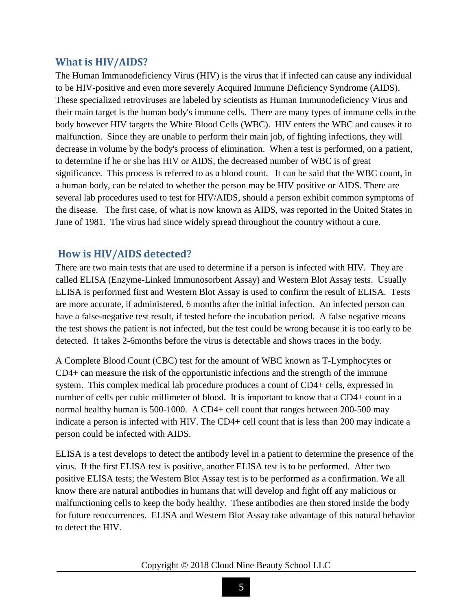#### <span id="page-4-0"></span>**What is HIV/AIDS?**

The Human Immunodeficiency Virus (HIV) is the virus that if infected can cause any individual to be HIV-positive and even more severely Acquired Immune Deficiency Syndrome (AIDS). These specialized retroviruses are labeled by scientists as Human Immunodeficiency Virus and their main target is the human body's immune cells. There are many types of immune cells in the body however HIV targets the White Blood Cells (WBC). HIV enters the WBC and causes it to malfunction. Since they are unable to perform their main job, of fighting infections, they will decrease in volume by the body's process of elimination. When a test is performed, on a patient, to determine if he or she has HIV or AIDS, the decreased number of WBC is of great significance. This process is referred to as a blood count. It can be said that the WBC count, in a human body, can be related to whether the person may be HIV positive or AIDS. There are several lab procedures used to test for HIV/AIDS, should a person exhibit common symptoms of the disease. The first case, of what is now known as AIDS, was reported in the United States in June of 1981. The virus had since widely spread throughout the country without a cure.

## <span id="page-4-1"></span>**How is HIV/AIDS detected?**

There are two main tests that are used to determine if a person is infected with HIV. They are called ELISA (Enzyme-Linked Immunosorbent Assay) and Western Blot Assay tests. Usually ELISA is performed first and Western Blot Assay is used to confirm the result of ELISA. Tests are more accurate, if administered, 6 months after the initial infection. An infected person can have a false-negative test result, if tested before the incubation period. A false negative means the test shows the patient is not infected, but the test could be wrong because it is too early to be detected. It takes 2-6months before the virus is detectable and shows traces in the body.

A Complete Blood Count (CBC) test for the amount of WBC known as T-Lymphocytes or CD4+ can measure the risk of the opportunistic infections and the strength of the immune system. This complex medical lab procedure produces a count of CD4+ cells, expressed in number of cells per cubic millimeter of blood. It is important to know that a CD4+ count in a normal healthy human is 500-1000. A CD4+ cell count that ranges between 200-500 may indicate a person is infected with HIV. The CD4+ cell count that is less than 200 may indicate a person could be infected with AIDS.

ELISA is a test develops to detect the antibody level in a patient to determine the presence of the virus. If the first ELISA test is positive, another ELISA test is to be performed. After two positive ELISA tests; the Western Blot Assay test is to be performed as a confirmation. We all know there are natural antibodies in humans that will develop and fight off any malicious or malfunctioning cells to keep the body healthy. These antibodies are then stored inside the body for future reoccurrences. ELISA and Western Blot Assay take advantage of this natural behavior to detect the HIV.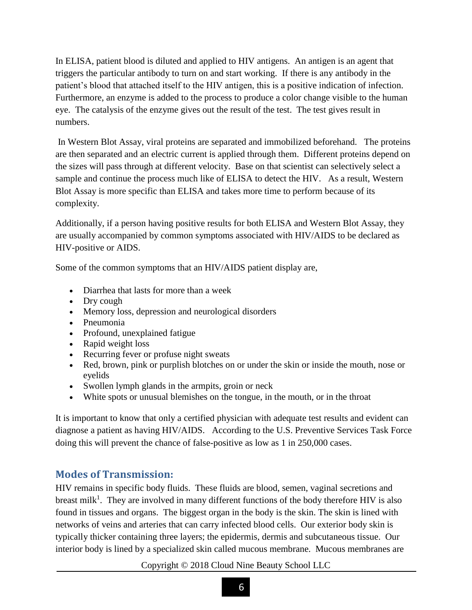In ELISA, patient blood is diluted and applied to HIV antigens. An antigen is an agent that triggers the particular antibody to turn on and start working. If there is any antibody in the patient's blood that attached itself to the HIV antigen, this is a positive indication of infection. Furthermore, an enzyme is added to the process to produce a color change visible to the human eye. The catalysis of the enzyme gives out the result of the test. The test gives result in numbers.

In Western Blot Assay, viral proteins are separated and immobilized beforehand. The proteins are then separated and an electric current is applied through them. Different proteins depend on the sizes will pass through at different velocity. Base on that scientist can selectively select a sample and continue the process much like of ELISA to detect the HIV. As a result, Western Blot Assay is more specific than ELISA and takes more time to perform because of its complexity.

Additionally, if a person having positive results for both ELISA and Western Blot Assay, they are usually accompanied by common symptoms associated with HIV/AIDS to be declared as HIV-positive or AIDS.

Some of the common symptoms that an HIV/AIDS patient display are,

- Diarrhea that lasts for more than a week
- Dry cough
- Memory loss, depression and neurological disorders
- Pneumonia
- Profound, unexplained fatigue
- Rapid weight loss
- Recurring fever or profuse night sweats
- Red, brown, pink or purplish blotches on or under the skin or inside the mouth, nose or eyelids
- Swollen lymph glands in the armpits, groin or neck
- White spots or unusual blemishes on the tongue, in the mouth, or in the throat

It is important to know that only a certified physician with adequate test results and evident can diagnose a patient as having HIV/AIDS. According to the U.S. Preventive Services Task Force doing this will prevent the chance of false-positive as low as 1 in 250,000 cases.

## <span id="page-5-0"></span>**Modes of Transmission:**

HIV remains in specific body fluids. These fluids are blood, semen, vaginal secretions and breast milk<sup>1</sup>. They are involved in many different functions of the body therefore HIV is also found in tissues and organs. The biggest organ in the body is the skin. The skin is lined with networks of veins and arteries that can carry infected blood cells. Our exterior body skin is typically thicker containing three layers; the epidermis, dermis and subcutaneous tissue. Our interior body is lined by a specialized skin called mucous membrane. Mucous membranes are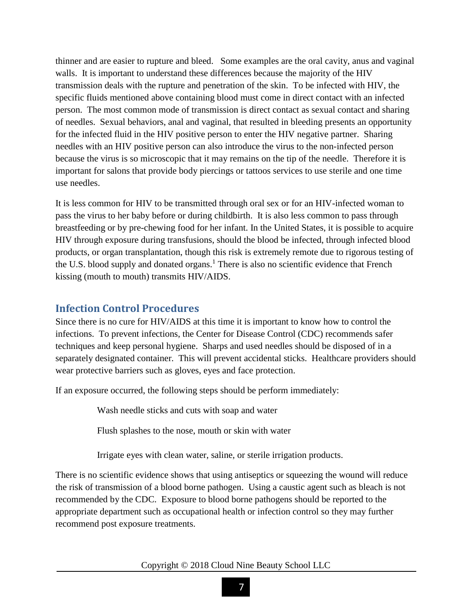thinner and are easier to rupture and bleed. Some examples are the oral cavity, anus and vaginal walls. It is important to understand these differences because the majority of the HIV transmission deals with the rupture and penetration of the skin. To be infected with HIV, the specific fluids mentioned above containing blood must come in direct contact with an infected person. The most common mode of transmission is direct contact as sexual contact and sharing of needles. Sexual behaviors, anal and vaginal, that resulted in bleeding presents an opportunity for the infected fluid in the HIV positive person to enter the HIV negative partner. Sharing needles with an HIV positive person can also introduce the virus to the non-infected person because the virus is so microscopic that it may remains on the tip of the needle. Therefore it is important for salons that provide body piercings or tattoos services to use sterile and one time use needles.

It is less common for HIV to be transmitted through oral sex or for an HIV-infected woman to pass the virus to her baby before or during childbirth. It is also less common to pass through breastfeeding or by pre-chewing food for her infant. In the United States, it is possible to acquire HIV through exposure during transfusions, should the blood be infected, through infected blood products, or organ transplantation, though this risk is extremely remote due to rigorous testing of the U.S. blood supply and donated organs.<sup>1</sup> There is also no scientific evidence that French kissing (mouth to mouth) transmits HIV/AIDS.

#### <span id="page-6-0"></span>**Infection Control Procedures**

Since there is no cure for HIV/AIDS at this time it is important to know how to control the infections. To prevent infections, the Center for Disease Control (CDC) recommends safer techniques and keep personal hygiene. Sharps and used needles should be disposed of in a separately designated container. This will prevent accidental sticks. Healthcare providers should wear protective barriers such as gloves, eyes and face protection.

If an exposure occurred, the following steps should be perform immediately:

Wash needle sticks and cuts with soap and water

Flush splashes to the nose, mouth or skin with water

Irrigate eyes with clean water, saline, or sterile irrigation products.

There is no scientific evidence shows that using antiseptics or squeezing the wound will reduce the risk of transmission of a blood borne pathogen. Using a caustic agent such as bleach is not recommended by the CDC. Exposure to blood borne pathogens should be reported to the appropriate department such as occupational health or infection control so they may further recommend post exposure treatments.

Copyright © 2018 Cloud Nine Beauty School LLC

7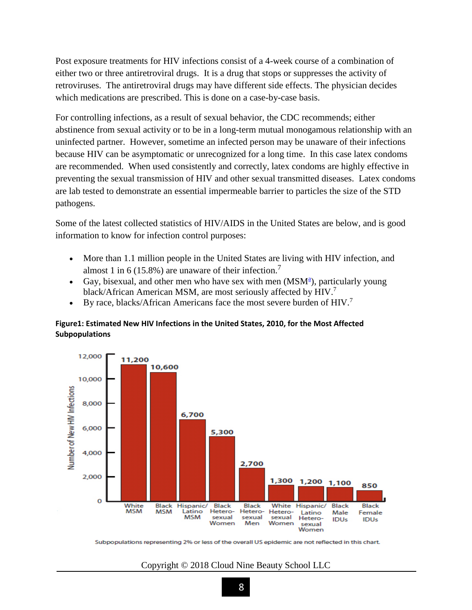Post exposure treatments for HIV infections consist of a 4-week course of a combination of either two or three antiretroviral drugs. It is a drug that stops or suppresses the activity of retroviruses. The antiretroviral drugs may have different side effects. The physician decides which medications are prescribed. This is done on a case-by-case basis.

For controlling infections, as a result of sexual behavior, the CDC recommends; either abstinence from sexual activity or to be in a long-term mutual monogamous relationship with an uninfected partner. However, sometime an infected person may be unaware of their infections because HIV can be asymptomatic or unrecognized for a long time. In this case latex condoms are recommended. When used consistently and correctly, latex condoms are highly effective in preventing the sexual transmission of HIV and other sexual transmitted diseases. Latex condoms are lab tested to demonstrate an essential impermeable barrier to particles the size of the STD pathogens.

Some of the latest collected statistics of HIV/AIDS in the United States are below, and is good information to know for infection control purposes:

- More than 1.1 million people in the United States are living with HIV infection, and almost 1 in 6 (15.8%) are unaware of their infection.<sup>7</sup>
- G[a](http://www.aids.gov/hiv-aids-basics/hiv-aids-101/statistics/#foota)y, bisexual, and other men who have sex with men (MSM<sup>a</sup>), particularly young black/African American MSM, are most seriously affected by HIV.<sup>7</sup>
- By race, blacks/African Americans face the most severe burden of  $HIV.<sup>7</sup>$

#### **Figure1: Estimated New HIV Infections in the United States, 2010, for the Most Affected Subpopulations**



Subpopulations representing 2% or less of the overall US epidemic are not reflected in this chart.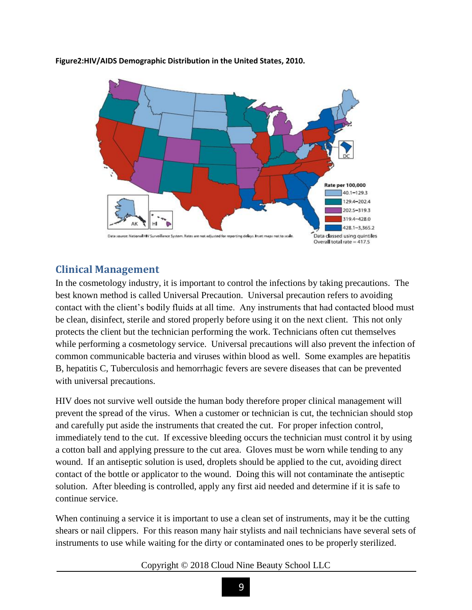

**Figure2:HIV/AIDS Demographic Distribution in the United States, 2010.**

## <span id="page-8-0"></span>**Clinical Management**

In the cosmetology industry, it is important to control the infections by taking precautions. The best known method is called Universal Precaution. Universal precaution refers to avoiding contact with the client's bodily fluids at all time. Any instruments that had contacted blood must be clean, disinfect, sterile and stored properly before using it on the next client. This not only protects the client but the technician performing the work. Technicians often cut themselves while performing a cosmetology service. Universal precautions will also prevent the infection of common communicable bacteria and viruses within blood as well. Some examples are hepatitis B, hepatitis C, Tuberculosis and hemorrhagic fevers are severe diseases that can be prevented with universal precautions.

HIV does not survive well outside the human body therefore proper clinical management will prevent the spread of the virus. When a customer or technician is cut, the technician should stop and carefully put aside the instruments that created the cut. For proper infection control, immediately tend to the cut. If excessive bleeding occurs the technician must control it by using a cotton ball and applying pressure to the cut area. Gloves must be worn while tending to any wound. If an antiseptic solution is used, droplets should be applied to the cut, avoiding direct contact of the bottle or applicator to the wound. Doing this will not contaminate the antiseptic solution. After bleeding is controlled, apply any first aid needed and determine if it is safe to continue service.

When continuing a service it is important to use a clean set of instruments, may it be the cutting shears or nail clippers. For this reason many hair stylists and nail technicians have several sets of instruments to use while waiting for the dirty or contaminated ones to be properly sterilized.

#### Copyright © 2018 Cloud Nine Beauty School LLC

9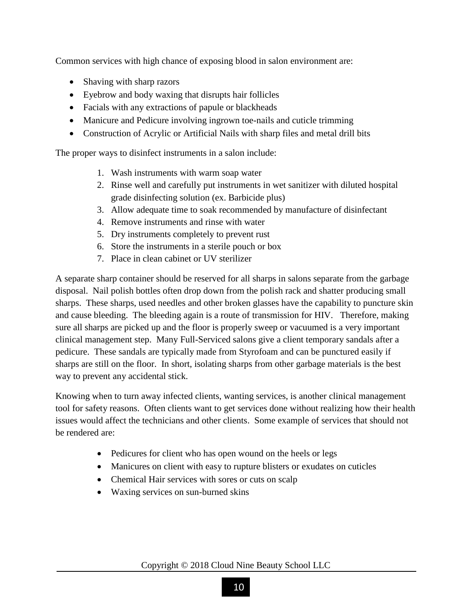Common services with high chance of exposing blood in salon environment are:

- Shaving with sharp razors
- Eyebrow and body waxing that disrupts hair follicles
- Facials with any extractions of papule or blackheads
- Manicure and Pedicure involving ingrown toe-nails and cuticle trimming
- Construction of Acrylic or Artificial Nails with sharp files and metal drill bits

The proper ways to disinfect instruments in a salon include:

- 1. Wash instruments with warm soap water
- 2. Rinse well and carefully put instruments in wet sanitizer with diluted hospital grade disinfecting solution (ex. Barbicide plus)
- 3. Allow adequate time to soak recommended by manufacture of disinfectant
- 4. Remove instruments and rinse with water
- 5. Dry instruments completely to prevent rust
- 6. Store the instruments in a sterile pouch or box
- 7. Place in clean cabinet or UV sterilizer

A separate sharp container should be reserved for all sharps in salons separate from the garbage disposal. Nail polish bottles often drop down from the polish rack and shatter producing small sharps. These sharps, used needles and other broken glasses have the capability to puncture skin and cause bleeding. The bleeding again is a route of transmission for HIV. Therefore, making sure all sharps are picked up and the floor is properly sweep or vacuumed is a very important clinical management step. Many Full-Serviced salons give a client temporary sandals after a pedicure. These sandals are typically made from Styrofoam and can be punctured easily if sharps are still on the floor. In short, isolating sharps from other garbage materials is the best way to prevent any accidental stick.

Knowing when to turn away infected clients, wanting services, is another clinical management tool for safety reasons. Often clients want to get services done without realizing how their health issues would affect the technicians and other clients. Some example of services that should not be rendered are:

- Pedicures for client who has open wound on the heels or legs
- Manicures on client with easy to rupture blisters or exudates on cuticles
- Chemical Hair services with sores or cuts on scalp
- Waxing services on sun-burned skins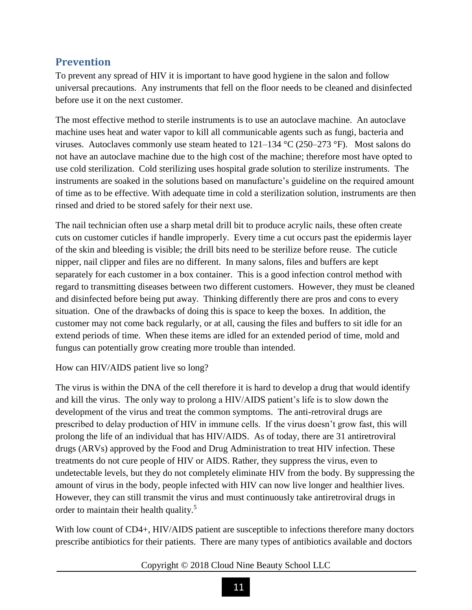## <span id="page-10-0"></span>**Prevention**

To prevent any spread of HIV it is important to have good hygiene in the salon and follow universal precautions. Any instruments that fell on the floor needs to be cleaned and disinfected before use it on the next customer.

The most effective method to sterile instruments is to use an autoclave machine. An autoclave machine uses heat and water vapor to kill all communicable agents such as fungi, bacteria and viruses. Autoclaves commonly use steam heated to  $121-134$  °C (250–273 °F). Most salons do not have an autoclave machine due to the high cost of the machine; therefore most have opted to use cold sterilization. Cold sterilizing uses hospital grade solution to sterilize instruments. The instruments are soaked in the solutions based on manufacture's guideline on the required amount of time as to be effective. With adequate time in cold a sterilization solution, instruments are then rinsed and dried to be stored safely for their next use.

The nail technician often use a sharp metal drill bit to produce acrylic nails, these often create cuts on customer cuticles if handle improperly. Every time a cut occurs past the epidermis layer of the skin and bleeding is visible; the drill bits need to be sterilize before reuse. The cuticle nipper, nail clipper and files are no different. In many salons, files and buffers are kept separately for each customer in a box container. This is a good infection control method with regard to transmitting diseases between two different customers. However, they must be cleaned and disinfected before being put away. Thinking differently there are pros and cons to every situation. One of the drawbacks of doing this is space to keep the boxes. In addition, the customer may not come back regularly, or at all, causing the files and buffers to sit idle for an extend periods of time. When these items are idled for an extended period of time, mold and fungus can potentially grow creating more trouble than intended.

#### How can HIV/AIDS patient live so long?

The virus is within the DNA of the cell therefore it is hard to develop a drug that would identify and kill the virus. The only way to prolong a HIV/AIDS patient's life is to slow down the development of the virus and treat the common symptoms. The anti-retroviral drugs are prescribed to delay production of HIV in immune cells. If the virus doesn't grow fast, this will prolong the life of an individual that has HIV/AIDS. As of today, there are 31 antiretroviral drugs (ARVs) approved by the Food and Drug Administration to treat HIV infection. These treatments do not cure people of HIV or AIDS. Rather, they suppress the virus, even to undetectable levels, but they do not completely eliminate HIV from the body. By suppressing the amount of virus in the body, people infected with HIV can now live longer and healthier lives. However, they can still transmit the virus and must continuously take antiretroviral drugs in order to maintain their health quality.<sup>5</sup>

With low count of CD4+, HIV/AIDS patient are susceptible to infections therefore many doctors prescribe antibiotics for their patients. There are many types of antibiotics available and doctors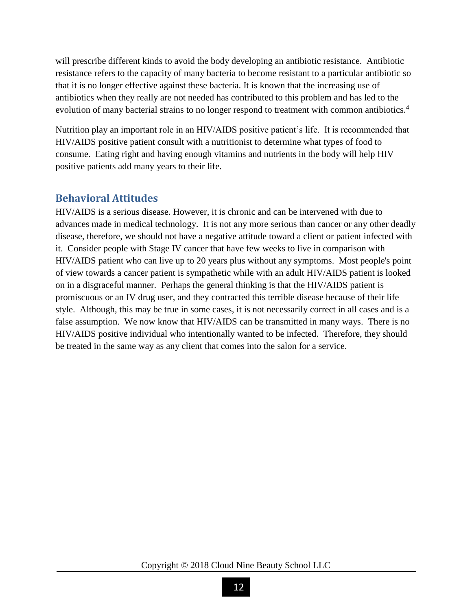will prescribe different kinds to avoid the body developing an antibiotic resistance. Antibiotic resistance refers to the capacity of many bacteria to become resistant to a particular antibiotic so that it is no longer effective against these bacteria. It is known that the increasing use of antibiotics when they really are not needed has contributed to this problem and has led to the evolution of many bacterial strains to no longer respond to treatment with common antibiotics.<sup>4</sup>

Nutrition play an important role in an HIV/AIDS positive patient's life. It is recommended that HIV/AIDS positive patient consult with a nutritionist to determine what types of food to consume. Eating right and having enough vitamins and nutrients in the body will help HIV positive patients add many years to their life.

## <span id="page-11-0"></span>**Behavioral Attitudes**

HIV/AIDS is a serious disease. However, it is chronic and can be intervened with due to advances made in medical technology. It is not any more serious than cancer or any other deadly disease, therefore, we should not have a negative attitude toward a client or patient infected with it. Consider people with Stage IV cancer that have few weeks to live in comparison with HIV/AIDS patient who can live up to 20 years plus without any symptoms. Most people's point of view towards a cancer patient is sympathetic while with an adult HIV/AIDS patient is looked on in a disgraceful manner. Perhaps the general thinking is that the HIV/AIDS patient is promiscuous or an IV drug user, and they contracted this terrible disease because of their life style. Although, this may be true in some cases, it is not necessarily correct in all cases and is a false assumption. We now know that HIV/AIDS can be transmitted in many ways. There is no HIV/AIDS positive individual who intentionally wanted to be infected. Therefore, they should be treated in the same way as any client that comes into the salon for a service.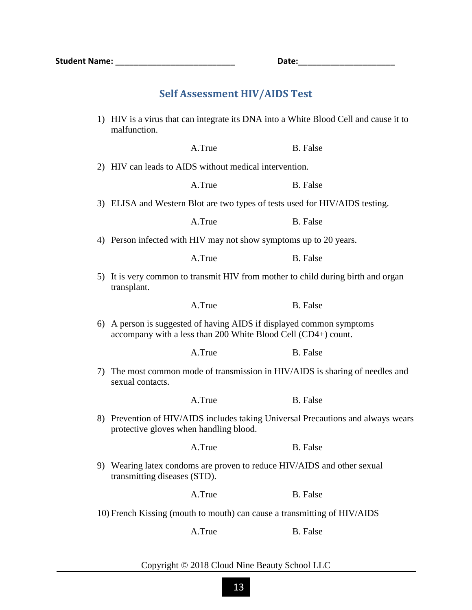# **Self Assessment HIV/AIDS Test**

<span id="page-12-0"></span>

|                                                                          | 1) HIV is a virus that can integrate its DNA into a White Blood Cell and cause it to<br>malfunction.                                  |                                                                         |                 |  |  |
|--------------------------------------------------------------------------|---------------------------------------------------------------------------------------------------------------------------------------|-------------------------------------------------------------------------|-----------------|--|--|
|                                                                          |                                                                                                                                       | A.True                                                                  | <b>B.</b> False |  |  |
|                                                                          | 2) HIV can leads to AIDS without medical intervention.                                                                                |                                                                         |                 |  |  |
|                                                                          |                                                                                                                                       | A.True                                                                  | B. False        |  |  |
|                                                                          | 3) ELISA and Western Blot are two types of tests used for HIV/AIDS testing.                                                           |                                                                         |                 |  |  |
|                                                                          |                                                                                                                                       | A.True                                                                  | <b>B.</b> False |  |  |
|                                                                          | 4) Person infected with HIV may not show symptoms up to 20 years.                                                                     |                                                                         |                 |  |  |
|                                                                          |                                                                                                                                       | A.True                                                                  | <b>B.</b> False |  |  |
|                                                                          | 5) It is very common to transmit HIV from mother to child during birth and organ<br>transplant.                                       |                                                                         |                 |  |  |
|                                                                          |                                                                                                                                       | A.True                                                                  | <b>B.</b> False |  |  |
|                                                                          | 6) A person is suggested of having AIDS if displayed common symptoms<br>accompany with a less than 200 White Blood Cell (CD4+) count. |                                                                         |                 |  |  |
|                                                                          |                                                                                                                                       | A.True                                                                  | <b>B.</b> False |  |  |
|                                                                          | 7) The most common mode of transmission in HIV/AIDS is sharing of needles and<br>sexual contacts.                                     |                                                                         |                 |  |  |
|                                                                          |                                                                                                                                       | A.True                                                                  | <b>B.</b> False |  |  |
|                                                                          | 8) Prevention of HIV/AIDS includes taking Universal Precautions and always wears<br>protective gloves when handling blood.            |                                                                         |                 |  |  |
|                                                                          |                                                                                                                                       | A.True                                                                  | <b>B.</b> False |  |  |
|                                                                          | transmitting diseases (STD).                                                                                                          | 9) Wearing latex condoms are proven to reduce HIV/AIDS and other sexual |                 |  |  |
|                                                                          |                                                                                                                                       | A.True                                                                  | <b>B.</b> False |  |  |
| 10) French Kissing (mouth to mouth) can cause a transmitting of HIV/AIDS |                                                                                                                                       |                                                                         |                 |  |  |
|                                                                          |                                                                                                                                       | A.True                                                                  | <b>B.</b> False |  |  |
|                                                                          |                                                                                                                                       |                                                                         |                 |  |  |

#### Copyright © 2018 Cloud Nine Beauty School LLC

13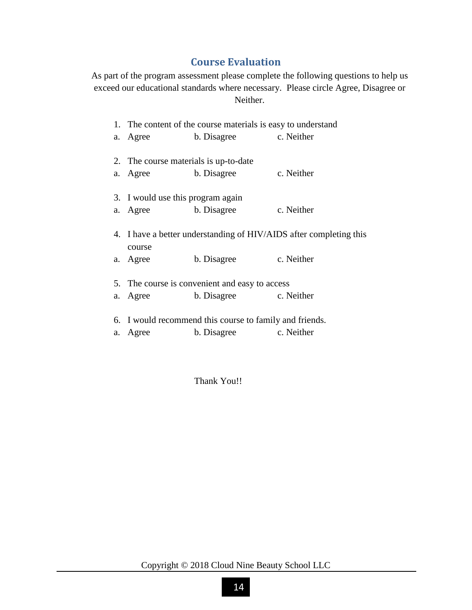## **Course Evaluation**

<span id="page-13-0"></span>As part of the program assessment please complete the following questions to help us exceed our educational standards where necessary. Please circle Agree, Disagree or Neither.

| 1. The content of the course materials is easy to understand       |                        |            |  |  |
|--------------------------------------------------------------------|------------------------|------------|--|--|
| a. Agree                                                           | b. Disagree c. Neither |            |  |  |
|                                                                    |                        |            |  |  |
| 2. The course materials is up-to-date                              |                        |            |  |  |
| a. Agree b. Disagree                                               |                        | c. Neither |  |  |
|                                                                    |                        |            |  |  |
| 3. I would use this program again                                  |                        |            |  |  |
| a. Agree b. Disagree                                               |                        | c. Neither |  |  |
|                                                                    |                        |            |  |  |
| 4. I have a better understanding of HIV/AIDS after completing this |                        |            |  |  |
| course                                                             |                        |            |  |  |
| a. Agree                                                           | b. Disagree            | c. Neither |  |  |
|                                                                    |                        |            |  |  |
| 5. The course is convenient and easy to access                     |                        |            |  |  |
| a. Agree                                                           | b. Disagree c. Neither |            |  |  |
|                                                                    |                        |            |  |  |
| 6. I would recommend this course to family and friends.            |                        |            |  |  |
| a. Agree                                                           | b. Disagree            | c. Neither |  |  |

Thank You!!